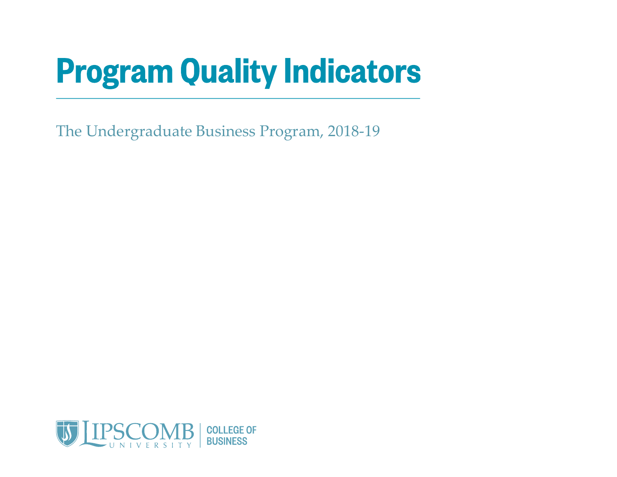## **Program Quality Indicators**

The Undergraduate Business Program, 2018-19

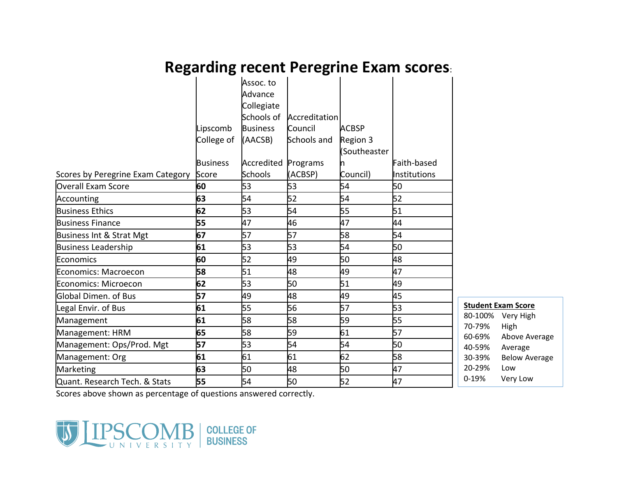## **Regarding recent Peregrine Exam scores**:

|                                   |                 | Assoc. to<br>Advance<br>Collegiate<br>Schools of | Accreditation |                          |              |                |
|-----------------------------------|-----------------|--------------------------------------------------|---------------|--------------------------|--------------|----------------|
|                                   | Lipscomb        | <b>Business</b>                                  | Council       | <b>ACBSP</b>             |              |                |
|                                   | College of      | (AACSB)                                          | Schools and   | Region 3<br>(Southeaster |              |                |
|                                   | <b>Business</b> | Accredited                                       | Programs      |                          | Faith-based  |                |
| Scores by Peregrine Exam Category | Score           | <b>Schools</b>                                   | (ACBSP)       | Council)                 | Institutions |                |
| <b>Overall Exam Score</b>         | 60              | 53                                               | 53            | 54                       | 50           |                |
| Accounting                        | 63              | 54                                               | 52            | 54                       | 52           |                |
| <b>Business Ethics</b>            | 62              | 53                                               | 54            | 55                       | 51           |                |
| <b>Business Finance</b>           | 55              | 47                                               | 46            | 47                       | 44           |                |
| Business Int & Strat Mgt          | 67              | 57                                               | 57            | 58                       | 54           |                |
| <b>Business Leadership</b>        | 61              | 53                                               | 53            | 54                       | 50           |                |
| Economics                         | 60              | 52                                               | 49            | 50                       | 48           |                |
| <b>Economics: Macroecon</b>       | 58              | 51                                               | 48            | 49                       | 47           |                |
| Economics: Microecon              | 62              | 53                                               | 50            | 51                       | 49           |                |
| <b>Global Dimen. of Bus</b>       | 57              | 49                                               | 48            | 49                       | 45           |                |
| Legal Envir. of Bus               | 61              | 55                                               | 56            | 57                       | 53           | <u>St</u>      |
| Management                        | 61              | 58                                               | 58            | 59                       | 55           | 80<br>70       |
| Management: HRM                   | 65              | 58                                               | 59            | 61                       | 57           | 60             |
| Management: Ops/Prod. Mgt         | 57              | 53                                               | 54            | 54                       | 50           | 4 <sub>0</sub> |
| Management: Org                   | 61              | 61                                               | 61            | 62                       | 58           | 3 <sub>0</sub> |
| Marketing                         | 63              | 50                                               | 48            | 50                       | 47           | 2 <sub>0</sub> |
| Quant. Research Tech. & Stats     | 55              | 54                                               | 50            | 52                       | 47           | $0-$           |

**Exam Score** 0-100% Very High 0-79% High 0-69% Above Average 0-59% Average 0-39% Below Average 20-29% Low -19% Very Low

Scores above shown as percentage of questions answered correctly.

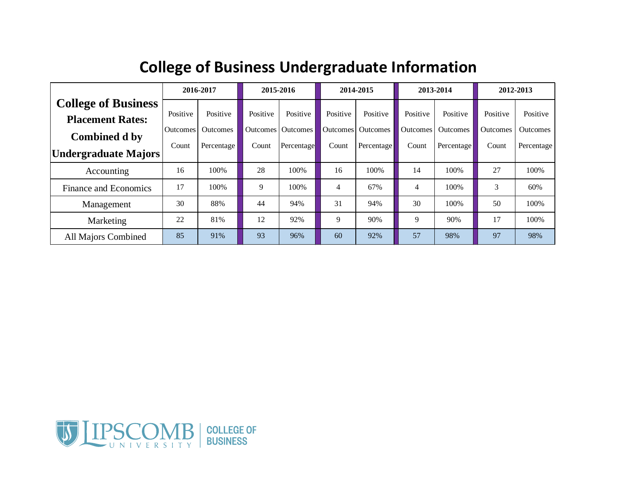|                            | 2016-2017       |                 | 2015-2016 |            | 2014-2015       |                 | 2013-2014 |                 | 2012-2013 |                 |
|----------------------------|-----------------|-----------------|-----------|------------|-----------------|-----------------|-----------|-----------------|-----------|-----------------|
| <b>College of Business</b> |                 |                 |           |            |                 |                 |           |                 |           |                 |
| <b>Placement Rates:</b>    | Positive        | Positive        | Positive  | Positive   | Positive        | Positive        | Positive  | Positive        | Positive  | Positive        |
| Combined d by              | <b>Outcomes</b> | <b>Outcomes</b> | Outcomes  | Outcomes   | <b>Outcomes</b> | <b>Outcomes</b> | Outcomes  | <b>Outcomes</b> | Outcomes  | <b>Outcomes</b> |
| Undergraduate Majors       | Count           | Percentage      | Count     | Percentage | Count           | Percentage      | Count     | Percentage      | Count     | Percentage      |
| Accounting                 | 16              | 100%            | 28        | 100%       | 16              | 100%            | 14        | 100\%           | 27        | 100%            |
| Finance and Economics      | 17              | 100\%           | 9         | 100%       | $\overline{4}$  | 67%             | 4         | 100%            | 3         | 60%             |
| Management                 | 30              | 88%             | 44        | 94%        | 31              | 94%             | 30        | 100%            | 50        | 100%            |
| Marketing                  | 22              | 81%             | 12        | 92%        | 9               | 90%             | 9         | 90%             | 17        | 100%            |
| <b>All Majors Combined</b> | 85              | 91%             | 93        | 96%        | 60              | 92%             | 57        | 98%             | 97        | 98%             |

## **College of Business Undergraduate Information**

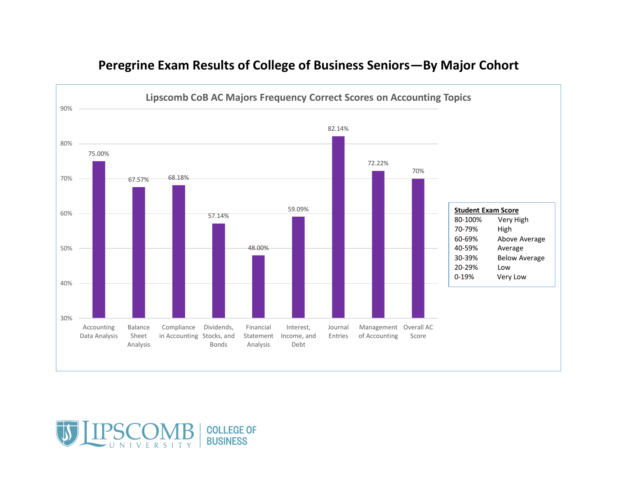

## **Peregrine Exam Results of College of Business Seniors—By Major Cohort**

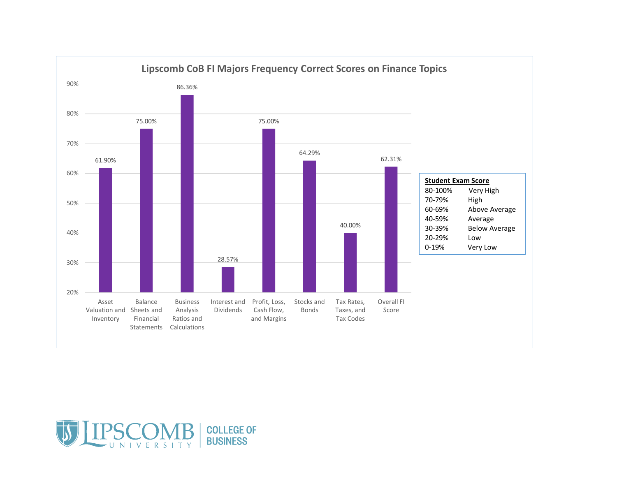

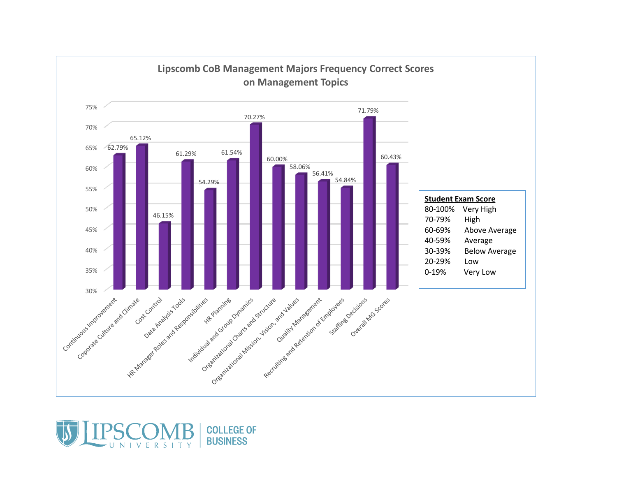

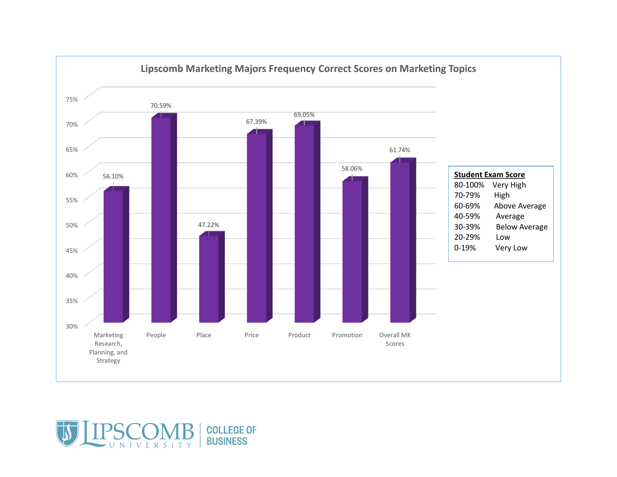



UNIVERSITY

**COLLEGE OF BUSINESS**